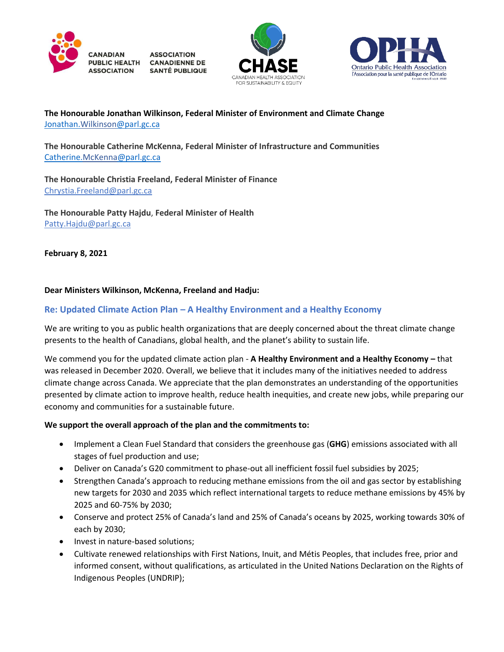

**ASSOCIATION** PUBLIC HEALTH CANADIENNE DE **SANTÉ PUBLIQUE** 





## **The Honourable Jonathan Wilkinson, Federal Minister of Environment and Climate Change** [Jonathan.Wilkinson@parl.gc.ca](mailto:Jonathan.Wilkinson@parl.gc.ca)

**The Honourable Catherine McKenna, Federal Minister of Infrastructure and Communities** [Catherine.McKenna@parl.gc.ca](mailto:Catherine.McKenna@parl.gc.ca)

**The Honourable Christia Freeland, Federal Minister of Finance** [Chrystia.Freeland@parl.gc.ca](mailto:Chrystia.Freeland@parl.gc.ca)

**The Honourable Patty Hajdu**, **Federal Minister of Health**  [Patty.Hajdu@parl.gc.ca](mailto:Patty.Hajdu@parl.gc.ca)

**February 8, 2021**

### **Dear Ministers Wilkinson, McKenna, Freeland and Hadju:**

## **Re: Updated Climate Action Plan – A Healthy Environment and a Healthy Economy**

We are writing to you as public health organizations that are deeply concerned about the threat climate change presents to the health of Canadians, global health, and the planet's ability to sustain life.

We commend you for the updated climate action plan - **A Healthy Environment and a Healthy Economy –** that was released in December 2020. Overall, we believe that it includes many of the initiatives needed to address climate change across Canada. We appreciate that the plan demonstrates an understanding of the opportunities presented by climate action to improve health, reduce health inequities, and create new jobs, while preparing our economy and communities for a sustainable future.

### **We support the overall approach of the plan and the commitments to:**

- Implement a Clean Fuel Standard that considers the greenhouse gas (**GHG**) emissions associated with all stages of fuel production and use;
- Deliver on Canada's G20 commitment to phase-out all inefficient fossil fuel subsidies by 2025;
- Strengthen Canada's approach to reducing methane emissions from the oil and gas sector by establishing new targets for 2030 and 2035 which reflect international targets to reduce methane emissions by 45% by 2025 and 60-75% by 2030;
- Conserve and protect 25% of Canada's land and 25% of Canada's oceans by 2025, working towards 30% of each by 2030;
- Invest in nature-based solutions;
- Cultivate renewed relationships with First Nations, Inuit, and Métis Peoples, that includes free, prior and informed consent, without qualifications, as articulated in the United Nations Declaration on the Rights of Indigenous Peoples (UNDRIP);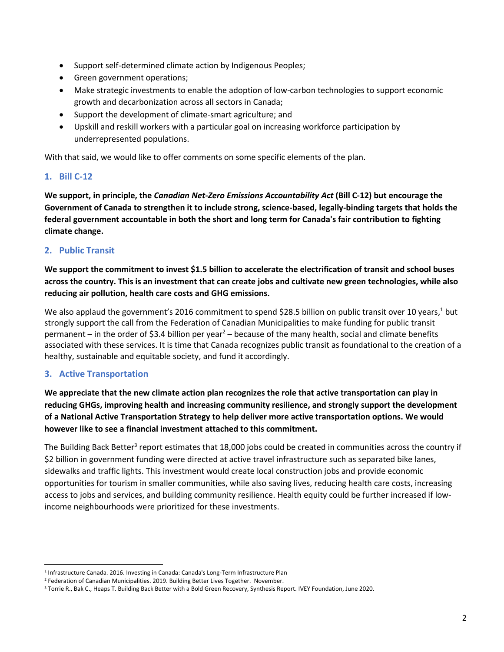- Support self-determined climate action by Indigenous Peoples;
- Green government operations;
- Make strategic investments to enable the adoption of low-carbon technologies to support economic growth and decarbonization across all sectors in Canada;
- Support the development of climate-smart agriculture; and
- Upskill and reskill workers with a particular goal on increasing workforce participation by underrepresented populations.

With that said, we would like to offer comments on some specific elements of the plan.

# **1. Bill C-12**

**We support, in principle, the** *Canadian Net-Zero Emissions Accountability Act* **(Bill C-12) but encourage the Government of Canada to strengthen it to include strong, science-based, legally-binding targets that holds the federal government accountable in both the short and long term for Canada's fair contribution to fighting climate change.**

## **2. Public Transit**

**We support the commitment to invest \$1.5 billion to accelerate the electrification of transit and school buses across the country. This is an investment that can create jobs and cultivate new green technologies, while also reducing air pollution, health care costs and GHG emissions.** 

We also applaud the government's 2016 commitment to spend \$28.5 billion on public transit over 10 years,<sup>1</sup> but strongly support the call from the Federation of Canadian Municipalities to make funding for public transit permanent – in the order of \$3.4 billion per year<sup>2</sup> – because of the many health, social and climate benefits associated with these services. It is time that Canada recognizes public transit as foundational to the creation of a healthy, sustainable and equitable society, and fund it accordingly.

# **3. Active Transportation**

**We appreciate that the new climate action plan recognizes the role that active transportation can play in reducing GHGs, improving health and increasing community resilience, and strongly support the development of a National Active Transportation Strategy to help deliver more active transportation options. We would however like to see a financial investment attached to this commitment.**

The Building Back Better<sup>3</sup> report estimates that 18,000 jobs could be created in communities across the country if \$2 billion in government funding were directed at active travel infrastructure such as separated bike lanes, sidewalks and traffic lights. This investment would create local construction jobs and provide economic opportunities for tourism in smaller communities, while also saving lives, reducing health care costs, increasing access to jobs and services, and building community resilience. Health equity could be further increased if lowincome neighbourhoods were prioritized for these investments.

<sup>&</sup>lt;sup>1</sup> Infrastructure Canada. 2016. Investing in Canada: Canada's Long-Term Infrastructure Plan

<sup>&</sup>lt;sup>2</sup> Federation of Canadian Municipalities. 2019. Building Better Lives Together. November.

<sup>3</sup> Torrie R., Bak C., Heaps T. Building Back Better with a Bold Green Recovery, Synthesis Report. IVEY Foundation, June 2020.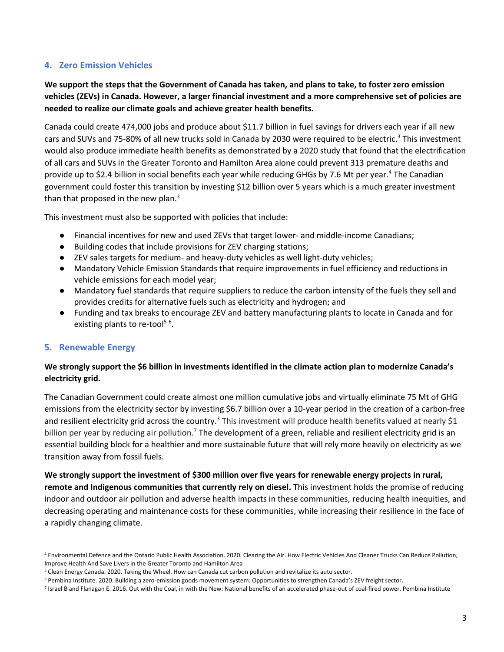## **4. Zero Emission Vehicles**

**We support the steps that the Government of Canada has taken, and plans to take, to foster zero emission vehicles (ZEVs) in Canada. However, a larger financial investment and a more comprehensive set of policies are needed to realize our climate goals and achieve greater health benefits.**

Canada could create 474,000 jobs and produce about \$11.7 billion in fuel savings for drivers each year if all new cars and SUVs and 75-80% of all new trucks sold in Canada by 2030 were required to be electric.<sup>3</sup> This investment would also produce immediate health benefits as demonstrated by a 2020 study that found that the electrification of all cars and SUVs in the Greater Toronto and Hamilton Area alone could prevent 313 premature deaths and provide up to \$2.4 billion in social benefits each year while reducing GHGs by 7.6 Mt per year. <sup>4</sup> The Canadian government could foster this transition by investing \$12 billion over 5 years which is a much greater investment than that proposed in the new plan. $3$ 

This investment must also be supported with policies that include:

- Financial incentives for new and used ZEVs that target lower- and middle-income Canadians;
- Building codes that include provisions for ZEV charging stations;
- ZEV sales targets for medium- and heavy-duty vehicles as well light-duty vehicles;
- Mandatory Vehicle Emission Standards that require improvements in fuel efficiency and reductions in vehicle emissions for each model year;
- Mandatory fuel standards that require suppliers to reduce the carbon intensity of the fuels they sell and provides credits for alternative fuels such as electricity and hydrogen; and
- Funding and tax breaks to encourage ZEV and battery manufacturing plants to locate in Canada and for existing plants to re-tool<sup>56</sup>.

### **5. Renewable Energy**

## **We strongly support the \$6 billion in investments identified in the climate action plan to modernize Canada's electricity grid.**

The Canadian Government could create almost one million cumulative jobs and virtually eliminate 75 Mt of GHG emissions from the electricity sector by investing \$6.7 billion over a 10-year period in the creation of a carbon-free and resilient electricity grid across the country.<sup>3</sup> This investment will produce health benefits valued at nearly \$1 billion per year by reducing air pollution.<sup>7</sup> The development of a green, reliable and resilient electricity grid is an essential building block for a healthier and more sustainable future that will rely more heavily on electricity as we transition away from fossil fuels.

**We strongly support the investment of \$300 million over five years for renewable energy projects in rural, remote and Indigenous communities that currently rely on diesel.** This investment holds the promise of reducing indoor and outdoor air pollution and adverse health impacts in these communities, reducing health inequities, and decreasing operating and maintenance costs for these communities, while increasing their resilience in the face of a rapidly changing climate.

<sup>4</sup> Environmental Defence and the Ontario Public Health Association. 2020. Clearing the Air. How Electric Vehicles And Cleaner Trucks Can Reduce Pollution, Improve Health And Save Livers in the Greater Toronto and Hamilton Area

<sup>5</sup> Clean Energy Canada. 2020. Taking the Wheel. How can Canada cut carbon pollution and revitalize its auto sector.

<sup>&</sup>lt;sup>6</sup> Pembina Institute. 2020. Building a zero-emission goods movement system: Opportunities to strengthen Canada's ZEV freight sector.

<sup>&</sup>lt;sup>7</sup> Israel B and Flanagan E. 2016. Out with the Coal, in with the New: National benefits of an accelerated phase-out of coal-fired power. Pembina Institute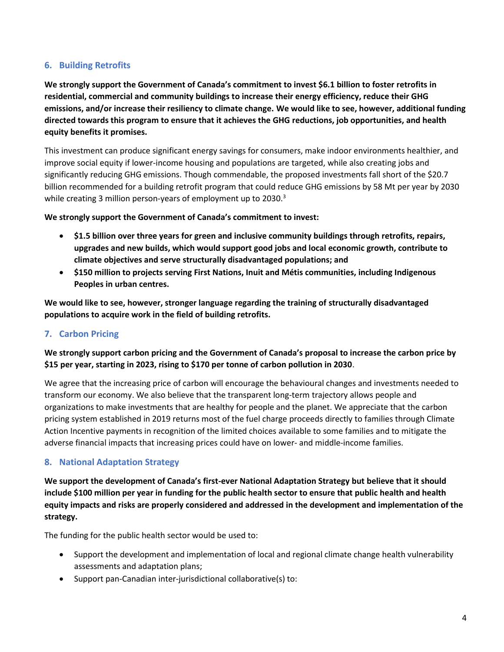# **6. Building Retrofits**

**We strongly support the Government of Canada's commitment to invest \$6.1 billion to foster retrofits in residential, commercial and community buildings to increase their energy efficiency, reduce their GHG emissions, and/or increase their resiliency to climate change. We would like to see, however, additional funding directed towards this program to ensure that it achieves the GHG reductions, job opportunities, and health equity benefits it promises.**

This investment can produce significant energy savings for consumers, make indoor environments healthier, and improve social equity if lower-income housing and populations are targeted, while also creating jobs and significantly reducing GHG emissions. Though commendable, the proposed investments fall short of the \$20.7 billion recommended for a building retrofit program that could reduce GHG emissions by 58 Mt per year by 2030 while creating 3 million person-years of employment up to 2030.<sup>3</sup>

**We strongly support the Government of Canada's commitment to invest:**

- **\$1.5 billion over three years for green and inclusive community buildings through retrofits, repairs, upgrades and new builds, which would support good jobs and local economic growth, contribute to climate objectives and serve structurally disadvantaged populations; and**
- **\$150 million to projects serving First Nations, Inuit and Métis communities, including Indigenous Peoples in urban centres.**

**We would like to see, however, stronger language regarding the training of structurally disadvantaged populations to acquire work in the field of building retrofits.**

### **7. Carbon Pricing**

**We strongly support carbon pricing and the Government of Canada's proposal to increase the carbon price by \$15 per year, starting in 2023, rising to \$170 per tonne of carbon pollution in 2030**.

We agree that the increasing price of carbon will encourage the behavioural changes and investments needed to transform our economy. We also believe that the transparent long-term trajectory allows people and organizations to make investments that are healthy for people and the planet. We appreciate that the carbon pricing system established in 2019 returns most of the fuel charge proceeds directly to families through Climate Action Incentive payments in recognition of the limited choices available to some families and to mitigate the adverse financial impacts that increasing prices could have on lower- and middle-income families.

### **8. National Adaptation Strategy**

**We support the development of Canada's first-ever National Adaptation Strategy but believe that it should include \$100 million per year in funding for the public health sector to ensure that public health and health equity impacts and risks are properly considered and addressed in the development and implementation of the strategy.**

The funding for the public health sector would be used to:

- Support the development and implementation of local and regional climate change health vulnerability assessments and adaptation plans;
- Support pan-Canadian inter-jurisdictional collaborative(s) to: